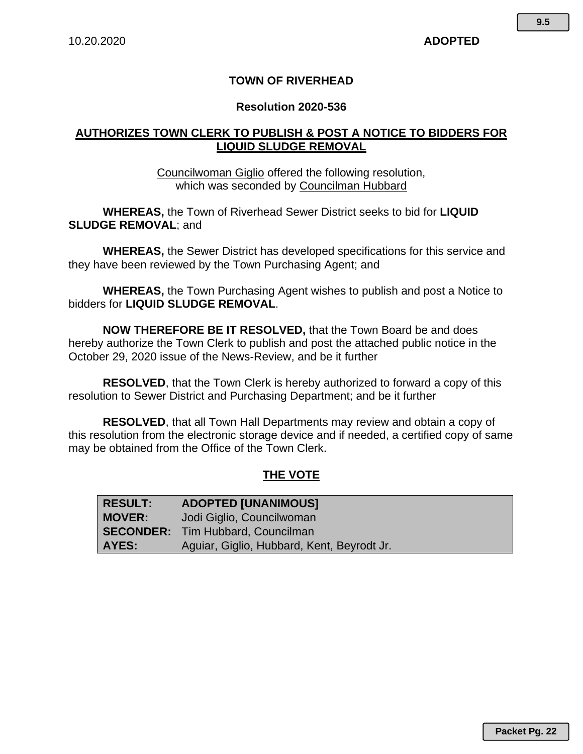## **TOWN OF RIVERHEAD**

#### **Resolution 2020-536**

## **AUTHORIZES TOWN CLERK TO PUBLISH & POST A NOTICE TO BIDDERS FOR LIQUID SLUDGE REMOVAL**

Councilwoman Giglio offered the following resolution, which was seconded by Councilman Hubbard

**WHEREAS,** the Town of Riverhead Sewer District seeks to bid for **LIQUID SLUDGE REMOVAL**; and

**WHEREAS,** the Sewer District has developed specifications for this service and they have been reviewed by the Town Purchasing Agent; and

**WHEREAS,** the Town Purchasing Agent wishes to publish and post a Notice to bidders for **LIQUID SLUDGE REMOVAL**.

**NOW THEREFORE BE IT RESOLVED,** that the Town Board be and does hereby authorize the Town Clerk to publish and post the attached public notice in the October 29, 2020 issue of the News-Review, and be it further

**RESOLVED**, that the Town Clerk is hereby authorized to forward a copy of this resolution to Sewer District and Purchasing Department; and be it further

**RESOLVED**, that all Town Hall Departments may review and obtain a copy of this resolution from the electronic storage device and if needed, a certified copy of same may be obtained from the Office of the Town Clerk.

# **THE VOTE**

| <b>RESULT:</b> | <b>ADOPTED [UNANIMOUS]</b>                 |
|----------------|--------------------------------------------|
| <b>MOVER:</b>  | Jodi Giglio, Councilwoman                  |
|                | <b>SECONDER:</b> Tim Hubbard, Councilman   |
| AYES:          | Aguiar, Giglio, Hubbard, Kent, Beyrodt Jr. |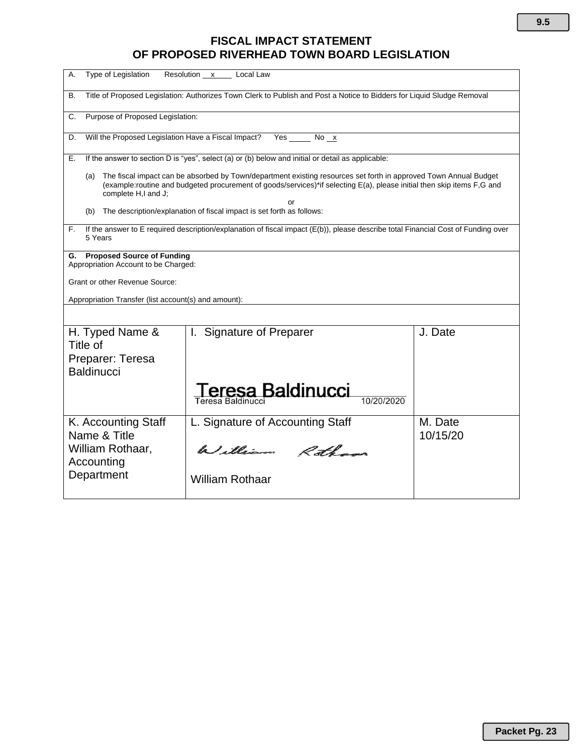# **FISCAL IMPACT STATEMENT OF PROPOSED RIVERHEAD TOWN BOARD LEGISLATION**

| Type of Legislation<br>А.                                                                                                                                                                                                                                                      | Resolution x Local Law                |                     |  |
|--------------------------------------------------------------------------------------------------------------------------------------------------------------------------------------------------------------------------------------------------------------------------------|---------------------------------------|---------------------|--|
| Title of Proposed Legislation: Authorizes Town Clerk to Publish and Post a Notice to Bidders for Liquid Sludge Removal<br>В.                                                                                                                                                   |                                       |                     |  |
| Purpose of Proposed Legislation:<br>C.                                                                                                                                                                                                                                         |                                       |                     |  |
| Will the Proposed Legislation Have a Fiscal Impact?<br>Yes<br>D.<br>No x                                                                                                                                                                                                       |                                       |                     |  |
| If the answer to section D is "yes", select (a) or (b) below and initial or detail as applicable:<br>Е.                                                                                                                                                                        |                                       |                     |  |
| The fiscal impact can be absorbed by Town/department existing resources set forth in approved Town Annual Budget<br>(a)<br>(example:routine and budgeted procurement of goods/services)*if selecting E(a), please initial then skip items F,G and<br>complete H,I and J;<br>or |                                       |                     |  |
| The description/explanation of fiscal impact is set forth as follows:<br>(b)                                                                                                                                                                                                   |                                       |                     |  |
| If the answer to E required description/explanation of fiscal impact (E(b)), please describe total Financial Cost of Funding over<br>F.<br>5 Years                                                                                                                             |                                       |                     |  |
| <b>Proposed Source of Funding</b><br>G.<br>Appropriation Account to be Charged:                                                                                                                                                                                                |                                       |                     |  |
| <b>Grant or other Revenue Source:</b>                                                                                                                                                                                                                                          |                                       |                     |  |
| Appropriation Transfer (list account(s) and amount):                                                                                                                                                                                                                           |                                       |                     |  |
|                                                                                                                                                                                                                                                                                |                                       |                     |  |
| H. Typed Name &<br>Title of                                                                                                                                                                                                                                                    | I. Signature of Preparer              | J. Date             |  |
| Preparer: Teresa<br><b>Baldinucci</b>                                                                                                                                                                                                                                          |                                       |                     |  |
|                                                                                                                                                                                                                                                                                | eresa Baldinucci<br>Teresa Baldinucci |                     |  |
| K. Accounting Staff<br>Name & Title                                                                                                                                                                                                                                            | L. Signature of Accounting Staff      | M. Date<br>10/15/20 |  |
| William Rothaar,<br>Accounting                                                                                                                                                                                                                                                 | William Rothans                       |                     |  |
| Department                                                                                                                                                                                                                                                                     | <b>William Rothaar</b>                |                     |  |